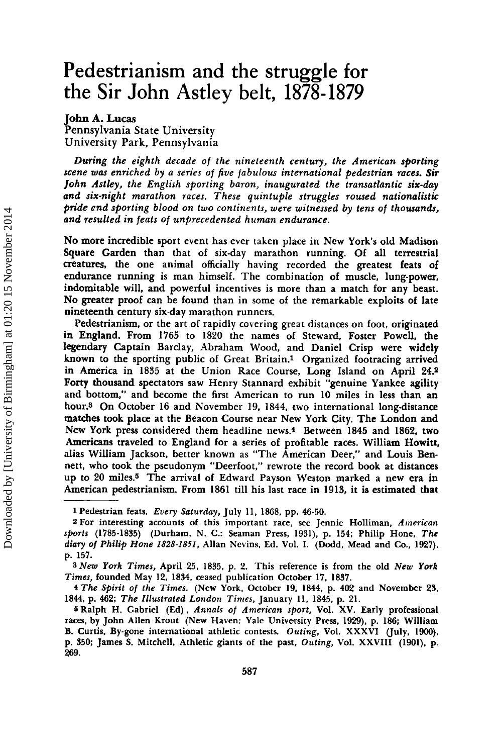# Pedestrianism and the struggle for the Sir John Astley belt, 1878-1879

John A. Lucas

Pennsylvania State University University Park, Pennsylvania

*During the eighth decade of the nineteenth century, the American sporting scene was enriched by a series of five fabulous international pedestrian races. Sir John Astley, the English sporting baron, inaugurated the transatlantic six-day and six-night marathon races. These quintuple struggles roused nationalistic pride end sporting blood on two continents, were witnessed by tens of thousands, and resulted in feats Of unprecedented human endurance.*

No more incredible sport event has ever taken place in New York's old Madison Square Garden than that of six-day marathon running. Of all terrestrial creatures, the one animal officially having recorded the greatest feats of endurance running is man himself. The combination of muscle, lung-power, indomitable will, and powerful incentives is more than a match for any beast. No greater proof can be found than in some of the remarkable exploits of late nineteenth century six-day marathon runners.

Pedestrianism, or the art of rapidly covering great distances on foot, originated in England. From 1765 to 1820 the names of Steward, Foster Powell, the legendary Captain Barclay, Abraham Wood, and Daniel Crisp were widely known to the sporting public of Great Britain.! Organized footracing arrived in America in 1835 at the Union Race Course, Long Island on April 24.2 Forty thousand spectators saw Henry Stannard exhibit "genuine Yankee agility and bottom," and become the first American to run 10 miles in less than an hour.<sup>3</sup> On October 16 and November 19, 1844, two international long-distance matches took place at the Beacon Course near New York City. The London and New York press considered them headline news.<sup>4</sup> Between 1845 and 1862, two Americans traveled to England for a series of profitable races. William Howitt, alias William Jackson, better known as "The American Deer," and Louis Bennett, who took the pseudonym "Deerfoot,' rewrote the record book at distances up to 20 miles.<sup>5</sup> The arrival of Edward Payson Weston marked a new era in American pedestrianism. From 1861 till his last race in 1913, it is estimated that

3 *New York Times,* April 25, 1835, p. 2. This reference is from the old *New York Times,* founded May 12, 1834, ceased publication October 17, 1837.

<sup>4</sup> *The Spirit of the Times.* (New York, October 19, 1844, p. 402 and November 23, 1844, p. 462; *The Illustrated London Times,* January 11, 1845, p. 21.

<sup>1</sup> Pedestrian feats. *Every Saturday,*July 11, 1868, pp. 46·50.

<sup>2</sup> For interesting accounts of this important race, see Jennie Holliman, *American sports* (1785-1835) (Durham, N. C.: Seaman Press, 1931), p. 154; Philip Hone, *The diary of Philip Hone* 1828-1851, Allan Nevins, Ed. Vol. I. (Dodd, Mead and Co., 1927), p. 157.

<sup>&</sup>lt;sup>5</sup> Ralph H. Gabriel (Ed), *Annals of American sport*, Vol. XV. Early professional races, by John Allen Krout (New Haven: Yale University Press, 1929), p. 186; William B. Curtis, By-gone international athletic contests. Outing, Vol. XXXVI (July, 1900), p. 350; James S. Mitchell, Athletic giants of the past, *Outing,* Vol. XXVIII (1901), p. 269.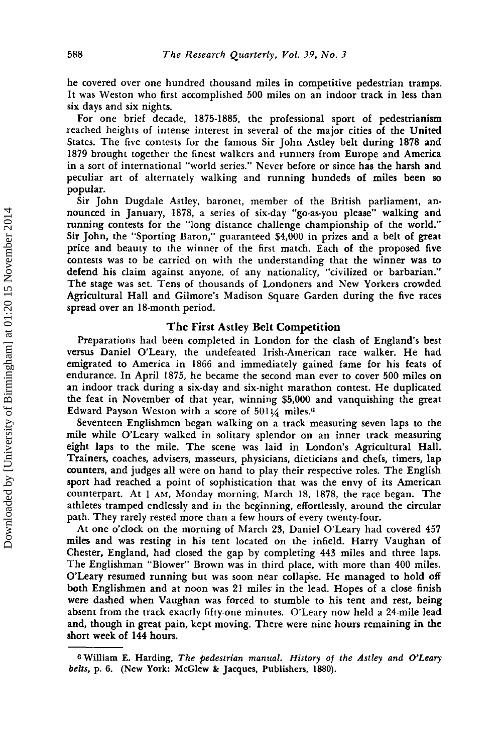he covered over one hundred thousand miles in competitive pedestrian tramps. It was Weston who first accomplished 500 miles on an indoor track in less than six days and six nights.

For one brief decade, 1875-1885, the professional sport of pedestrianism reached heights of intense interest in several of the major cities of the United States. The five contests for the famous Sir John Astley belt during 1878 and 1879 brought together the finest walkers and runners from Europe and America in a sort of international "world series." Never before or since has the harsh and peculiar art of alternately walking and running hundeds of miles been so popular.

Sir John Dugdale Astley, baronet, member of the British parliament, announced in January, 1878, a series of six-day "go-as-you please" walking and running contests for the "long distance challenge championship of the world." Sir John, the "Sporting Baron," guaranteed \$4,000 in prizes and a belt of great price and beauty to the winner of the first match. Each of the proposed five contests was to be carried on with the understanding that the winner was to defend his claim against anyone, of any nationality, "civilized or barbarian." The stage was set. Tens of thousands of Londoners and New Yorkers crowded Agricultural Hall and Gilmore's Madison Square Garden during the five races spread over an 18-month period.

## The First Astley Belt Competition

Preparations had been completed in London for the clash of England's best versus Daniel O'Leary, the undefeated Irish-American race walker. He had emigrated to America in 1866 and immediately gained fame for his feats of endurance. In April 1875, he became the second man ever to cover 500 miles on an indoor track during a six-day and six-night marathon contest. He duplicated the feat in November of that year, winning \$5,000 and vanquishing the great Edward Payson Weston with a score of  $501\frac{1}{4}$  miles.<sup>6</sup>

Seventeen Englishmen began walking on a track measuring seven laps to the mile while O'Leary walked in solitary splendor on an inner track measuring eight laps to the mile. The scene was laid in London's Agricultural Hall. Trainers, coaches, advisers, masseurs, physicians, dieticians and chefs, timers, lap counters, and judges all were on hand to play their respective roles. The English sport had reached a point of sophistication that was the envy of its American counterpart. At 1 AM, Monday morning, March 18, 1878, the race began. The athletes tramped endlessly and in the beginning, effortlessly, around the circular path. They rarely rested more than a few hours of every twenty-four.

At one o'clock on the morning of March 23, Daniel O'Leary had covered 457 miles and was resting in his tent located on the infield. Harry Vaughan of Chester, England, had closed the gap by completing 443 miles and three laps. The Englishman "Blower" Brown was in third place, with more than 400 miles. O'Leary resumed running but was soon near collapse. He managed to hold off both Englishmen and at noon was 21 miles in the lead. Hopes of a close finish were dashed when Vaughan was forced to stumble to his tent and rest, being absent from the track exactly fifty-one minutes. O'Leary now held a 24-mile lead and, though in great pain, kept moving. There were nine hours remaining in the short week of 144 hours.

<sup>6</sup> William E. Harding, *The pedestrian manual. History ot the Astley and O'Leary* belts, p. 6. (New York: McGlew & Jacques, Publishers, 1880).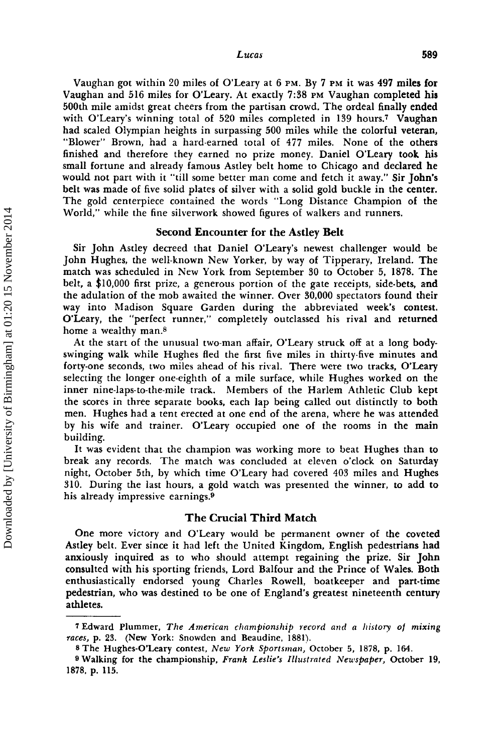Vaughan got within 20 miles of O'Leary at 6 PM. By 7 PM it was 497 miles for Vaughan and 516 miles for O'Leary. At exactly 7:38 PM Vaughan completed his 500th mile amidst great cheers from the partisan crowd. The ordeal finally ended with O'Leary's winning total of 520 miles completed in 139 hours.<sup>7</sup> Vaughan had scaled Olympian heights in surpassing 500 miles while the colorful veteran, "Blower" Brown, had a hard-earned total of 477 miles. None of the others finished and therefore they earned no prize money. Daniel O'Leary took his small fortune and already famous Astley belt home to Chicago and declared he would not part with it "till some better man come and fetch it away." Sir John's belt was made of five solid plates of silver with a solid gold buckle in the center. The gold centerpiece contained the words "Long Distance Champion of the World," while the fine silverwork showed figures of walkers and runners.

#### Second Encounter for the Astley Belt

Sir John Astley decreed that Daniel O'Leary's newest challenger would be John Hughes, the well-known New Yorker, by way of Tipperary, Ireland. The match was scheduled in New York from September 30 to October 5, 1878. The belt, a \$10,000 first prize, a generous portion of the gate receipts, side-bets, and the adulation of the mob awaited the winner. Over 30,000 spectators found their way into Madison Square Garden during the abbreviated week's contest. O'Leary, the "perfect runner," completely outclassed his rival and returned home a wealthy man.<sup>8</sup>

At the start of the unusual two-man affair, O'Leary struck off at a long bodyswinging walk while Hughes fled the first five miles in thirty-five minutes and forty-one seconds, two miles ahead of his rival. There were two tracks, O'Leary selecting the longer one-eighth of a mile surface, while Hughes worked on the inner nine-laps-to-the-mile track. Members of the Harlem Athletic Club kept the scores in three separate books, each lap being called out distinctly to both men. Hughes had a tent erected at one end of the arena, where he was attended by his wife and trainer. O'Leary occupied one of the rooms in the main building.

It was evident that the champion was working more to beat Hughes than to break any records. The match was concluded at eleven o'clock on Saturday night, October 5th, by which time O'Leary had covered 403 miles and Hughes 310. During the last hours, a gold watch was presented the winner, to add to his already impressive earnings.<sup>9</sup>

# The Crucial Third Match

One more victory and O'Leary would be permanent owner of the coveted Astley belt. Ever since it had left the United Kingdom, English pedestrians had anxiously inquired as to who should attempt regaining the prize. Sir John consulted with his sporting friends, Lord Balfour and the Prince of Wales. Both enthusiastically endorsed young Charles Rowell, boatkeeper and part-time pedestrian, who was destined to be one of England's greatest nineteenth century athletes.

<sup>7</sup> Edward Plummer, *The American championship record alld a history of mixing races,* p. 23. (New York: Snowden and Beaudine, 1881).

<sup>8</sup> The Hughes-O'Leary contest, *New York Sportsman,* October 5, 1878, p. 164.

<sup>9</sup> Walking for the championship, *Frank Leslie's Illustrated Newspaper,* October 19, 1878, p. 115.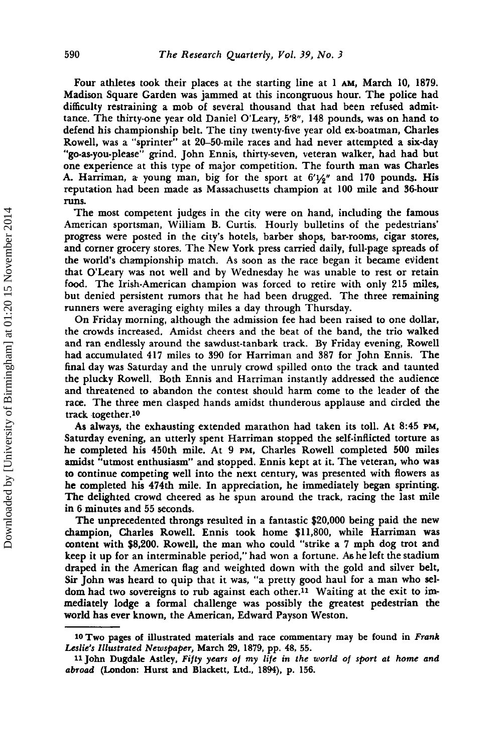Four athletes took their places at the starting line at 1 AM, March 10, 1879. Madison Square Garden was jammed at this incongruous hour. The police had difficulty restraining a mob of several thousand that had been refused admittance. The thirty-one year old Daniel O'Leary, 5'8", 148 pounds, was on hand to defend his championship belt. The tiny twenty-five year old ex-boatman, Charles Rowell, was a "sprinter" at 20-50-mile races and had never attempted a six-day "go-as-you-please" grind. John Ennis, thirty-seven, veteran walker, had had but one experience at this type of major competition. The fourth man was Charles A. Harriman, a- young man, big for the sport at *6'Y2"* and 170 pounds. His reputa-tion had been made as Massachusetts champion at 100 mile and 36-hour runs.

The most competent judges in the city were on hand, including the famous American sportsman, William B. Curtis. Hourly bulletins of the pedestrians' progress were posted in the city's hotels, barber shops, bar-rooms, cigar stores, and corner grocery stores. The New York press carried daily, full-page spreads of the world's championship match. As soon as the race began it became evident that O'Leary was not well and by Wednesday he was unable to rest or retain food. The Irish-American champion was forced to retire with only 215 miles, but denied persistent rumors that he had been drugged. The three remaining runners were averaging eighty miles a day through Thursday.

On Friday morning, although the admission fee had been raised to one dollar, the crowds increased. Amidst cheers and the beat of the band, the trio walked and ran endlessly around the sawdust-tanbark track. By Friday evening, Rowell had accumulated 417 miles to 390 for Harriman and 387 for John Ennis. The final day was Saturday and the unruly crowd spilled onto the track and taunted the plucky Rowell. Both Ennis and Harriman instantly addressed the audience and threatened to abandon the contest should harm come to the leader of the race. The three men clasped hands amidst thunderous applause and circled the track together.10

As always, the exhausting extended marathon had taken its toll. At 8:45 PM, Saturday evening, an utterly spent Harriman stopped the self-inflicted torture as he completed his 450th mile. At 9 PM, Charles Rowell completed 500 miles amidst "utmost enthusiasm" and stopped. Ennis kept at it. The veteran, who was to continue competing well into the next century, was presented with flowers as he completed his 474th mile. In appreciation, he immediately began sprinting. The delighted crowd cheered as he spun around the track, racing the last mile in 6 minutes and 55 seconds.

The unprecedented throngs resulted in a fantastic \$20,000 being paid the new champion, Charles Rowell. Ennis took home \$11,800, while Harriman was content with \$8,200. Rowell, the man who could "strike a 7 mph dog trot and keep it up for an interminable period," had won a fortune. As he left the stadium draped in the American flag and weighted down with the gold and silver belt, Sir John was heard to quip that it was, "a pretty good haul for a man who seldom had two sovereigns to rub against each other.<sup>11</sup> Waiting at the exit to immediately lodge a formal challenge was possibly the greatest pedestrian the world has ever known, the American, Edward Payson Weston.

<sup>10</sup> Two pages of illustrated materials and race commentary may be found in *Frank Leslie's Illustrated Newspaper,* March 29, 1879, pp. 48, 55.

<sup>11</sup> john Dugdale Astley, *Fifty years of* my *life* in *the world of sport at home and abroad* (London: Hurst and Blackett, Ltd., 1894), p. 156.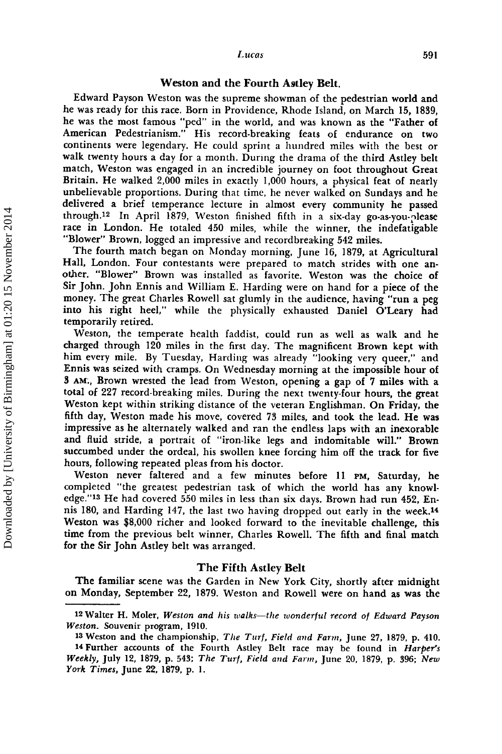#### *Lucas* 591

## Weston and the Fourth Astley Belt.

Edward Payson Weston was the supreme showman of the pedestrian world and he was ready for this race. Born in Providence, Rhode Island, on March 15, 1839, he was the most famous "ped" in the world, and was known as the "Father of American Pedestrianism." His record-breaking feats of endurance on two continents were legendary. He could sprint a hundred miles with the best or walk twenty hours a day for a month. During the drama of the third Astley belt match, Weston was engaged in an incredible journey on foot throughout Great Britain. He walked 2,000 miles in exactly 1,000 hours, a physical feat of nearly unbelievable proportions. During that time, he never walked on Sundays and he delivered a brief temperance lecture in almost every community he passed through,12 In April 1879, Weston finished fifth in a six-day go-as-you-please race in London. He totaled 450 miles, while the winner, the indefatigable "Blower" Brown, logged an impressive and recordbreaking 542 miles.

The fourth match began on Monday morning, June 16, 1879, at Agricultural Hall, London. Four contestants were prepared to match strides with one another. "Blower" Brown was installed as favorite. Weston was the choice of Sir John. John Ennis and William E. Harding were on hand for a piece of the money. The great Charles Rowell sat glumly in the audience, having "run a peg into his right heel," while the physically exhausted Daniel O'Leary had temporarily retired.

Weston, the temperate health faddist, could run as well as walk and he charged through 120 miles in the first day. The magnificent Brown kept with him every mile. By Tuesday, Harding was already "looking very queer," and Ennis was seized with cramps. On Wednesday morning at the impossible hour of 3 AM;, Brown wrested the lead from Weston, opening a gap of 7 miles with a total of 227 record-breaking miles. During the next twenty-four hours, the great Weston kept within striking distance of the veteran Englishman. On Friday, the fifth day, Weston made his move, covered 73 miles, and took the lead. He was impressive as he alternately walked and ran the endless laps with an inexorable and fluid stride, a portrait of "iron-like legs and indomitable will." Brown succumbed under the ordeal, his swollen knee forcing him off the track for five hours, following repeated pleas from his doctor.

Weston never faltered and a few minutes before II PM, Saturday, he completed "the greatest pedestrian task of which the world has any knowledge."13 He had covered 550 miles in less than six days. Brown had run 452, Ennis 180, and Harding 147, the last two having dropped out early in the week.14 Weston was \$8,000 richer and looked forward to the inevitable challenge, this time from the previous belt winner, Charles Rowell. The fifth and final match for the Sir John Astley belt was arranged.

## The Fifth Astley Belt

The familiar scene was the Garden in New York City, shortly after midnight on Monday, September 22, 1879. Weston and Rowell were on hand as was the

<sup>12</sup>Walter H. Moler, *Weston and his walks-the wonderful record of Edward Payson Weston.* Souvenir program, 1910.

<sup>13</sup> Weston and the championship, *The Turf, Field and Farm,* June 27, 1879, p. 410.

<sup>14</sup> Further accounts of the Fourth Astley Belt race may be found in *Harper's Weekly,* July 12, 1879, p. 543; *The Turf, Field and Farm,* June 20. 1879. p. 396; *New York Times,* June 22, 1879, p. l.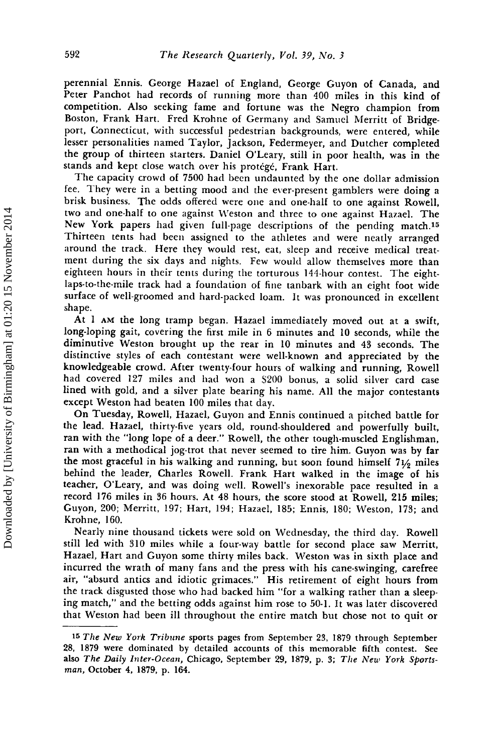perennial Ennis. George Hazael of England, George Guyon of Canada, and Peter Panchot had records of running more than 400 miles in this kind of competition. Also seeking fame and fortune was the Negro champion from Boston, Frank Hart. Fred Krohne of Germany and Samuel Merritt of Bridgeport, Connecticut, with successful pedestrian backgrounds, were entered, while lesser personalities named Taylor, Jackson, Federmeyer, and Dutcher completed the group of thirteen starters. Daniel O'Leary, still in poor health, was in the stands and kept close watch over his protégé, Frank Hart.

The capacity crowd of 7500 had been undaunted by the one dollar admission fee. They were in a betting mood and the ever-present gamblers were doing a brisk business. TIle odds offered were one and one-half to one against Rowell, two and one-half to one against Weston and three to one against Hazael. The New York papers had given full-page descriptions of the pending match.<sup>15</sup> Thirteen tents had been assigned to the athletes and were neatly arranged around the track. Here they would rest, eat, sleep and receive medical treatment during the six days and nights. Few would allow themselves more than eighteen hours in their tents during the torturous 144-hour contest. The eightlaps-to-the-mile track had a foundation of fine tanbark with an eight foot wide surface of well-groomed and hard-packed loam. It was pronounced in excellent shape.

At I AM the long tramp began. Hazael immediately moved out at a swift, long-loping gait, covering the first mile in 6 minutes and 10 seconds, while the diminutive Weston brought up the rear in 10 minutes and 43 seconds. The distinctive styles of each contestant were well-known and appreciated by the knowledgeable crowd. After twenty-four hours of walking and running, Rowell had covered 127 miles and had won a \$200 bonus, a solid silver card case lined with gold, and a silver plate bearing his name. All the major contestants except Weston had beaten 100 miles that day.

On Tuesday, Rowell, Hazael, Guyon and Ennis continued a pitched battle for the lead. Hazael, thirty-five years old, round-shouldered and powerfully built, ran with the "long lope of a deer." Rowell, the other tough-muscled Englishman, ran with a methodical jog-trot that never seemed to tire him. Guyon was by far the most graceful in his walking and running, but soon found himself 71/2 miles behind the leader, Charles RowelL Frank Hart walked in the image of his teacher, O'Leary, and was doing well. Rowell's inexorable pace resulted in a record 176 miles in 36 hours. At 48 hours, the score stood at Rowell, 215 miles; Guyon, 200; Merritt, 197; Hart, 194; Hazael, 185; Ennis, 180; Weston, 173; and Krohne, 160.

Nearly nine thousand tickets were sold on Wednesday, the third day. Rowell still led with 310 miles while a four-way battle for second place saw Merritt, Hazael, Hart and Guyon some thirty miles back. Weston was in sixth place and incurred the wrath of many fans and the press with his cane-swinging, carefree air, "absurd antics and idiotic grimaces." His retirement of eight hours from the track disgusted those who had backed him "for a walking rather than a sleeping match," and the betting odds against him rose to 50-I. It was later discovered that Weston had been ill throughout the entire match but chose not to quit or

<sup>15</sup> *The New York Tribune* sports pages from September 23, 1879 through September 28, 1879 were dominated by detailed accounts of this memorable fifth contest. See also *The Daily Inter-Ocean,* Chicago, September 29, 1879, p. 3; *The New York Sportsman,* October 4, 1879, p. 164.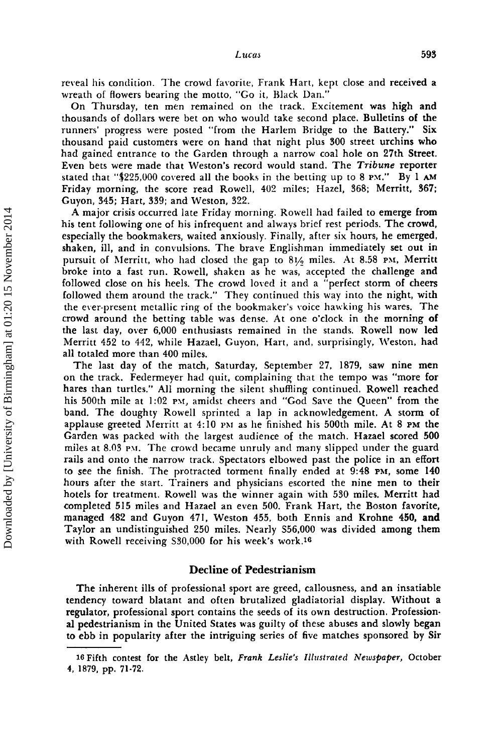reveal his condition. The crowd favorite, Frank Hart, kept close and received a wreath of flowers bearing the motto, "Go it, Black Dan."

On Thursday, ten men remained on the track. Excitement was high and thousands of dollars were bet on who would take second place. Bulletins of the runners' progress were posted "from the Harlem Bridge to the Battery." Six thousand paid customers were on hand that night plus 300 street urchins who had gained entrance to the Garden through a narrow coal hole on 27th Street. Even bets were made that Weston's record would stand. The *Tribune* reporter stated that " $$25,000$  covered all the books in the betting up to 8 PM." By 1 AM Friday morning, the score read Rowell, 402 miles; Hazel, 368; Merritt, 367; Guyon, 345; Hart. 339; and Weston, 322.

A major crisis occurred late Friday morning. Rowell had failed to emerge from his tent following one of his infrequent and always brief rest periods. The crowd, especially the bookmakers, waited anxiously. Finally, after six hours. he emerged, shaken. ill, and in convulsions. The brave Englishman immediately set out in pursuit of Merritt, who had closed the gap to 81/<sub>2</sub> miles. At 8.58 PM, Merritt broke into a fast run. Rowell, shaken as he was, accepted the challenge and followed close on his heels. The crowd loved it and a "perfect storm of cheers followed them around the track." They continued this way into the night, with the ever-present metallic ring of the bookmaker's voice hawking his wares. The crowd around the betting table was dense. At one o'clock in the morning of the last day. over 6,000 enthusiasts remained in the stands. Rowell now led Merritt 452 to 442, while Hazael, Guyon, Hart, and, surprisingly, Weston, had all totaled more than 400 miles.

The last day of the match. Saturday, September 27, 1879, saw nine men on the track. Federmeyer had quit, complaining that the tempo was "more for hares than turtles." All morning the silent shuffling continued. Rowell reached his 500th mile at 1:02 PM, amidst cheers and "God Save the Queen" from the band. The doughty Rowell sprinted a lap in acknowledgement. A storm of applause greeted Merritt at 4: 10 PM as he finished his 500th mile. At 8 PM the Garden was packed with the largest audience of the match. Hazael scored 500 miles at 8.03 pM. The crowd became unruly and many slipped under the guard rails and onto the narrow track. Spectators elbowed past the police in an effort to see the finish. The protracted torment finally ended at 9:48 PM. some 140 hours after the start. Trainers and physicians escorted the nine men to their hotels for treatment. Rowell was the winner again with 530 miles. Merritt had completed 515 miles and Hazael an even 500. Frank Hart, the Boston favorite. managed 482 and Guyon 471, Weston 455, both Ennis and Krohne 450, and Taylor an undistinguished 250 miles. Nearly 556,000 was divided among them with Rowell receiving S30,000 for his week's work.<sup>16</sup>

# Decline of Pedestrianism

The inherent ills of professional sport are greed, callousness, and an insatiable tendency toward blatant and often brutalized gladiatorial display. Without a regulator, professional sport contains the seeds of its own destruction. Professional pedestrianism in the United States was guilty of these abuses and slowly began to ebb in popularity after the intriguing series of five matches sponsored by Sir

<sup>16</sup> Fifth contest for the Astley belt, *Frank Leslie's Illustrated Newspaper,* October 4, 1879, pp. 71-72.